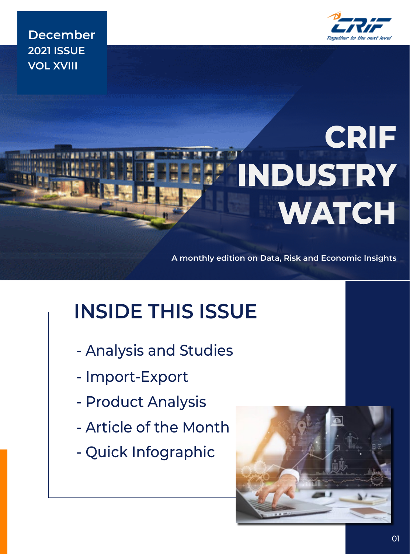

**December 2021 ISSUE VOL XVIII**

# **CRIF INDUSTRY WATCH**

**A monthly edition on Data, Risk and Economic Insights**

# **INSIDE THIS ISSUE**

- Analysis and Studies
- Import-Export
- Product Analysis
- Article of the Month
- Quick Infographic

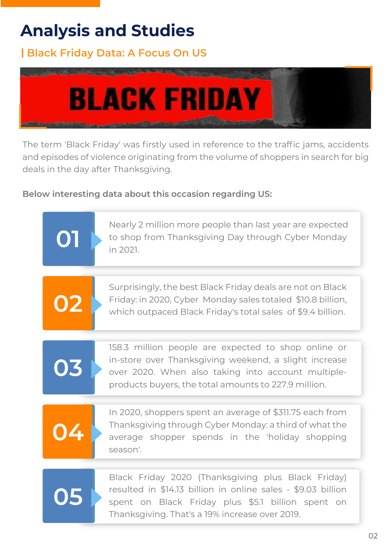# **Analysis and Studies**

## **Black Friday Data: A Focus On US**



The term 'Black Friday' was firstly used in reference to the traffic jams, accidents and episodes of violence originating from the volume of shoppers in search for big deals in the day after Thanksgiving.

### **Below interesting data about this occasion regarding US:**



resulted in \$14.13 billion in online sales - \$9.03 billion spent on Black Friday plus \$5.1 billion spent on Thanksgiving. That's a 19% increase over 2019.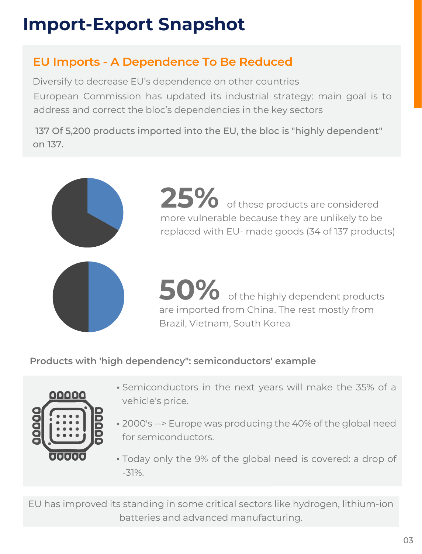# **Import-Export Snapshot**

### **EU Imports - A Dependence To Be Reduced**

Diversify to decrease EU's dependence on other countries European Commission has updated its industrial strategy: main goal is to address and correct the bloc's dependencies in the key sectors

 137 Of 5,200 products imported into the EU, the bloc is "highly dependent" on 137.



25% of these products are considered more vulnerable because they are unlikely to be replaced with EU- made goods (34 of 137 products)

**50%** of the highly dependent products are imported from China. The rest mostly from Brazil, Vietnam, South Korea

### **Products with 'high dependency": semiconductors' example**



- Semiconductors in the next years will make the 35% of a vehicle's price.
- 2000's --> Europe was producing the 40% of the global need for semiconductors.
- Today only the 9% of the global need is covered: a drop of -31%.

EU has improved its standing in some critical sectors like hydrogen, lithium-ion batteries and advanced manufacturing.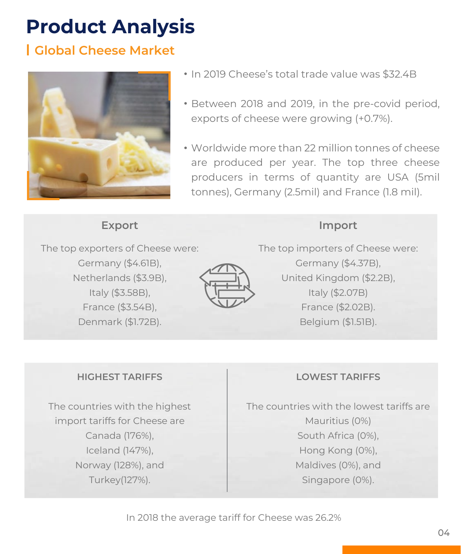# **Product Analysis**

### **Global Cheese Market**



- In 2019 Cheese's total trade value was \$32.4B
- Between 2018 and 2019, in the pre-covid period, exports of cheese were growing (+0.7%).
- Worldwide more than 22 million tonnes of cheese are produced per year. The top three cheese producers in terms of quantity are USA (5mil tonnes), Germany (2.5mil) and France (1.8 mil).

#### **Export**

#### **Import**

The top exporters of Cheese were: Germany (\$4.61B), Netherlands (\$3.9B), Italy (\$3.58B), France (\$3.54B), Denmark (\$1.72B).



The top importers of Cheese were: Germany (\$4.37B), United Kingdom (\$2.2B), Italy (\$2.07B) France (\$2.02B). Belgium (\$1.51B).

#### **HIGHEST TARIFFS**

The countries with the highest import tariffs for Cheese are Canada (176%), Iceland (147%), Norway (128%), and Turkey(127%).

#### **LOWEST TARIFFS**

The countries with the lowest tariffs are Mauritius (0%) South Africa (0%), Hong Kong (0%), Maldives (0%), and Singapore (0%).

In 2018 the average tariff for Cheese was 26.2%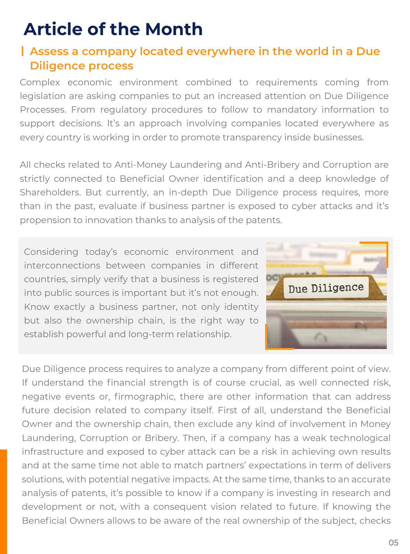# **Article of the Month**

### **Assess a company located everywhere in the world in a Due Diligence process**

Complex economic environment combined to requirements coming from legislation are asking companies to put an increased attention on Due Diligence Processes. From regulatory procedures to follow to mandatory information to support decisions. It's an approach involving companies located everywhere as every country is working in order to promote transparency inside businesses.

All checks related to Anti-Money Laundering and Anti-Bribery and Corruption are strictly connected to Beneficial Owner identification and a deep knowledge of Shareholders. But currently, an in-depth Due Diligence process requires, more than in the past, evaluate if business partner is exposed to cyber attacks and it's propension to innovation thanks to analysis of the patents.

Considering today's economic environment and interconnections between companies in different countries, simply verify that a business is registered into public sources is important but it's not enough. Know exactly a business partner, not only identity but also the ownership chain, is the right way to establish powerful and long-term relationship.



Due Diligence process requires to analyze a company from different point of view. If understand the financial strength is of course crucial, as well connected risk, negative events or, firmographic, there are other information that can address future decision related to company itself. First of all, understand the Beneficial Owner and the ownership chain, then exclude any kind of involvement in Money Laundering, Corruption or Bribery. Then, if a company has a weak technological infrastructure and exposed to cyber attack can be a risk in achieving own results and at the same time not able to match partners' expectations in term of delivers solutions, with potential negative impacts. At the same time, thanks to an accurate analysis of patents, it's possible to know if a company is investing in research and development or not, with a consequent vision related to future. If knowing the Beneficial Owners allows to be aware of the real ownership of the subject, checks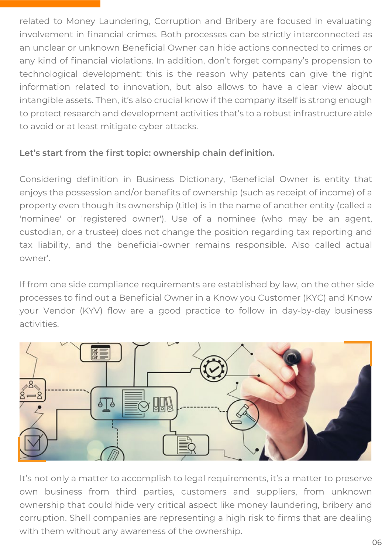related to Money Laundering, Corruption and Bribery are focused in evaluating involvement in financial crimes. Both processes can be strictly interconnected as an unclear or unknown Beneficial Owner can hide actions connected to crimes or any kind of financial violations. In addition, don't forget company's propension to technological development: this is the reason why patents can give the right information related to innovation, but also allows to have a clear view about intangible assets. Then, it's also crucial know if the company itself is strong enough to protect research and development activities that's to a robust infrastructure able to avoid or at least mitigate cyber attacks.

### **Let's start from the first topic: ownership chain definition.**

Considering definition in Business Dictionary, 'Beneficial Owner is entity that enjoys the possession and/or benefits of ownership (such as receipt of income) of a property even though its ownership (title) is in the name of another entity (called a 'nominee' or 'registered owner'). Use of a nominee (who may be an agent, custodian, or a trustee) does not change the position regarding tax reporting and tax liability, and the beneficial-owner remains responsible. Also called actual owner'.

If from one side compliance requirements are established by law, on the other side processes to find out a Beneficial Owner in a Know you Customer (KYC) and Know your Vendor (KYV) flow are a good practice to follow in day-by-day business activities.



It's not only a matter to accomplish to legal requirements, it's a matter to preserve own business from third parties, customers and suppliers, from unknown ownership that could hide very critical aspect like money laundering, bribery and corruption. Shell companies are representing a high risk to firms that are dealing with them without any awareness of the ownership.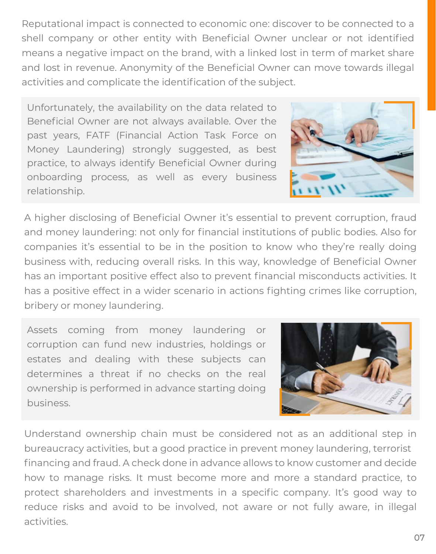Reputational impact is connected to economic one: discover to be connected to a shell company or other entity with Beneficial Owner unclear or not identified means a negative impact on the brand, with a linked lost in term of market share and lost in revenue. Anonymity of the Beneficial Owner can move towards illegal activities and complicate the identification of the subject.

Unfortunately, the availability on the data related to Beneficial Owner are not always available. Over the past years, FATF (Financial Action Task Force on Money Laundering) strongly suggested, as best practice, to always identify Beneficial Owner during onboarding process, as well as every business relationship.



A higher disclosing of Beneficial Owner it's essential to prevent corruption, fraud and money laundering: not only for financial institutions of public bodies. Also for companies it's essential to be in the position to know who they're really doing business with, reducing overall risks. In this way, knowledge of Beneficial Owner has an important positive effect also to prevent financial misconducts activities. It has a positive effect in a wider scenario in actions fighting crimes like corruption, bribery or money laundering.

Assets coming from money laundering or corruption can fund new industries, holdings or estates and dealing with these subjects can determines a threat if no checks on the real ownership is performed in advance starting doing business.



Understand ownership chain must be considered not as an additional step in bureaucracy activities, but a good practice in prevent money laundering, terrorist financing and fraud. A check done in advance allows to know customer and decide how to manage risks. It must become more and more a standard practice, to protect shareholders and investments in a specific company. It's good way to reduce risks and avoid to be involved, not aware or not fully aware, in illegal activities.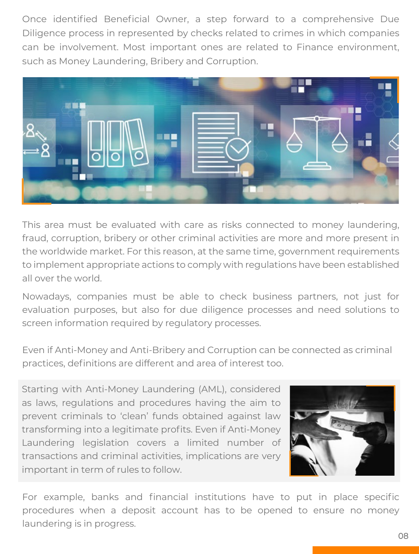Once identified Beneficial Owner, a step forward to a comprehensive Due Diligence process in represented by checks related to crimes in which companies can be involvement. Most important ones are related to Finance environment, such as Money Laundering, Bribery and Corruption.



This area must be evaluated with care as risks connected to money laundering, fraud, corruption, bribery or other criminal activities are more and more present in the worldwide market. For this reason, at the same time, government requirements to implement appropriate actions to comply with regulations have been established all over the world.

Nowadays, companies must be able to check business partners, not just for evaluation purposes, but also for due diligence processes and need solutions to screen information required by regulatory processes.

Even if Anti-Money and Anti-Bribery and Corruption can be connected as criminal practices, definitions are different and area of interest too.

Starting with Anti-Money Laundering (AML), considered as laws, regulations and procedures having the aim to prevent criminals to 'clean' funds obtained against law transforming into a legitimate profits. Even if Anti-Money Laundering legislation covers a limited number of transactions and criminal activities, implications are very important in term of rules to follow.



For example, banks and financial institutions have to put in place specific procedures when a deposit account has to be opened to ensure no money laundering is in progress.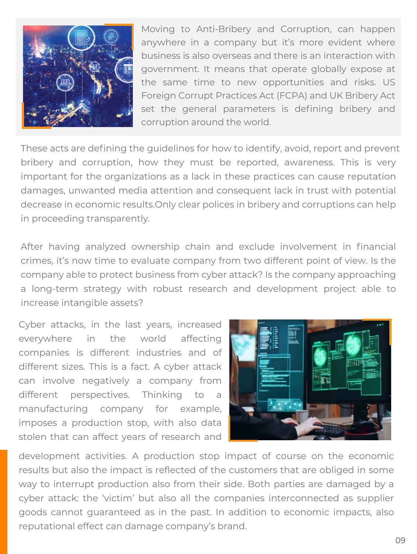

Moving to Anti-Bribery and Corruption, can happen anywhere in a company but it's more evident where business is also overseas and there is an interaction with government. It means that operate globally expose at the same time to new opportunities and risks. US Foreign Corrupt Practices Act (FCPA) and UK Bribery Act set the general parameters is defining bribery and corruption around the world.

These acts are defining the guidelines for how to identify, avoid, report and prevent bribery and corruption, how they must be reported, awareness. This is very important for the organizations as a lack in these practices can cause reputation damages, unwanted media attention and consequent lack in trust with potential decrease in economic results.Only clear polices in bribery and corruptions can help in proceeding transparently.

After having analyzed ownership chain and exclude involvement in financial crimes, it's now time to evaluate company from two different point of view. Is the company able to protect business from cyber attack? Is the company approaching a long-term strategy with robust research and development project able to increase intangible assets?

Cyber attacks, in the last years, increased everywhere in the world affecting companies is different industries and of different sizes. This is a fact. A cyber attack can involve negatively a company from different perspectives. Thinking to a manufacturing company for example, imposes a production stop, with also data stolen that can affect years of research and



development activities. A production stop impact of course on the economic results but also the impact is reflected of the customers that are obliged in some way to interrupt production also from their side. Both parties are damaged by a cyber attack: the 'victim' but also all the companies interconnected as supplier goods cannot guaranteed as in the past. In addition to economic impacts, also reputational effect can damage company's brand.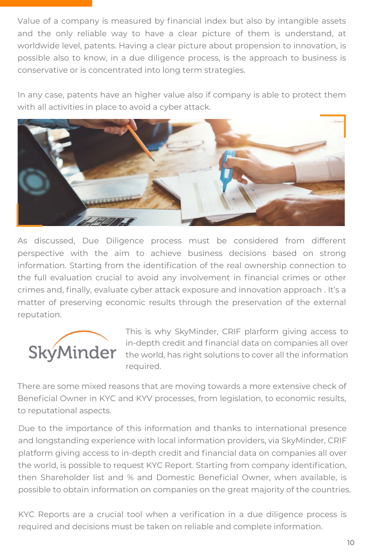Value of a company is measured by financial index but also by intangible assets and the only reliable way to have a clear picture of them is understand, at worldwide level, patents. Having a clear picture about propension to innovation, is possible also to know, in a due diligence process, is the approach to business is conservative or is concentrated into long term strategies.

In any case, patents have an higher value also if company is able to protect them with all activities in place to avoid a cyber attack.



As discussed, Due Diligence process must be considered from different perspective with the aim to achieve business decisions based on strong information. Starting from the identification of the real ownership connection to the full evaluation crucial to avoid any involvement in financial crimes or other crimes and, finally, evaluate cyber attack exposure and innovation approach . It's a matter of preserving economic results through the preservation of the external reputation.



This is why SkyMinder, CRIF plarform giving access to in-depth credit and financial data on companies all over the world, has right solutions to cover all the information required.

There are some mixed reasons that are moving towards a more extensive check of Beneficial Owner in KYC and KYV processes, from legislation, to economic results, to reputational aspects.

Due to the importance of this information and thanks to international presence and longstanding experience with local information providers, via SkyMinder, CRIF platform giving access to in-depth credit and financial data on companies all over the world, is possible to request KYC Report. Starting from company identification, then Shareholder list and % and Domestic Beneficial Owner, when available, is possible to obtain information on companies on the great majority of the countries.

KYC Reports are a crucial tool when a verification in a due diligence process is required and decisions must be taken on reliable and complete information.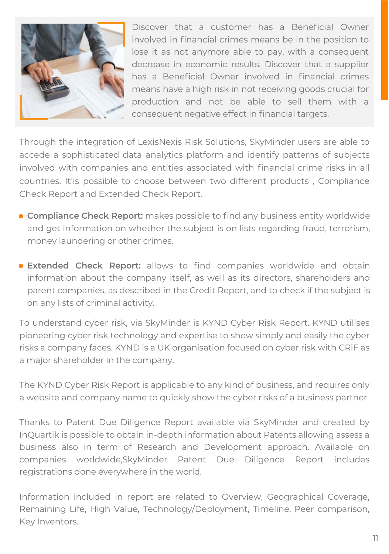

Discover that a customer has a Beneficial Owner involved in financial crimes means be in the position to lose it as not anymore able to pay, with a consequent decrease in economic results. Discover that a supplier has a Beneficial Owner involved in financial crimes means have a high risk in not receiving goods crucial for production and not be able to sell them with a consequent negative effect in financial targets.

Through the integration of LexisNexis Risk Solutions, SkyMinder users are able to accede a sophisticated data analytics platform and identify patterns of subjects involved with companies and entities associated with financial crime risks in all countries. It'is possible to choose between two different products , Compliance Check Report and Extended Check Report.

- **Compliance Check Report:** makes possible to find any business entity worldwide and get information on whether the subject is on lists regarding fraud, terrorism, money laundering or other crimes.
- **Extended Check Report:** allows to find companies worldwide and obtain information about the company itself, as well as its directors, shareholders and parent companies, as described in the Credit Report, and to check if the subject is on any lists of criminal activity.

To understand cyber risk, via SkyMinder is KYND Cyber Risk Report. KYND utilises pioneering cyber risk technology and expertise to show simply and easily the cyber risks a company faces. KYND is a UK organisation focused on cyber risk with CRiF as a major shareholder in the company.

The KYND Cyber Risk Report is applicable to any kind of business, and requires only a website and company name to quickly show the cyber risks of a business partner.

Thanks to Patent Due Diligence Report available via SkyMinder and created by InQuartik is possible to obtain in-depth information about Patents allowing assess a business also in term of Research and Development approach. Available on companies worldwide,SkyMinder Patent Due Diligence Report includes registrations done everywhere in the world.

Information included in report are related to Overview, Geographical Coverage, Remaining Life, High Value, Technology/Deployment, Timeline, Peer comparison, Key Inventors.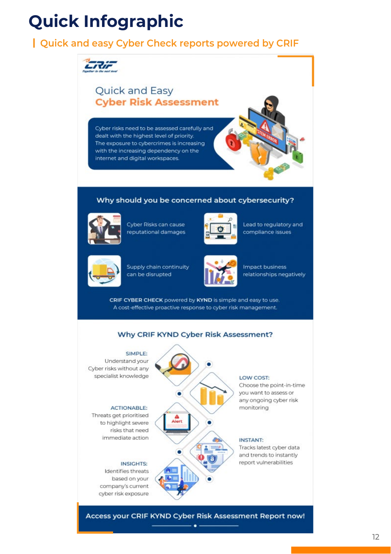# **Quick Infographic**

### **Quick and easy Cyber Check reports powered by CRIF**



and trends to instantly report vulnerabilities

#### **INSIGHTS:**

Identifies threats based on your company's current cyber risk exposure

Access your CRIF KYND Cyber Risk Assessment Report now!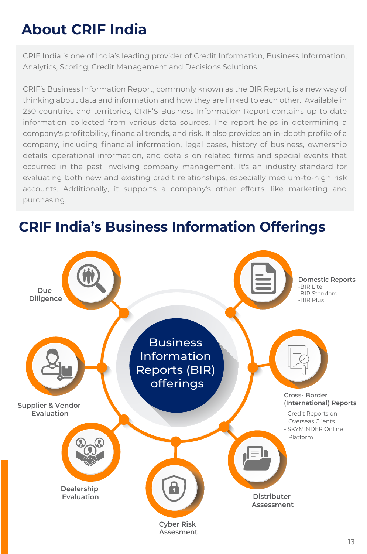# **About CRIF India**

CRIF India is one of India's leading provider of Credit Information, Business Information, Analytics, Scoring, Credit Management and Decisions Solutions.

CRIF's Business Information Report, commonly known as the BIR Report, is a new way of thinking about data and information and how they are linked to each other. Available in 230 countries and territories, CRIF'S Business Information Report contains up to date information collected from various data sources. The report helps in determining a company's profitability, financial trends, and risk. It also provides an in-depth profile of a company, including financial information, legal cases, history of business, ownership details, operational information, and details on related firms and special events that occurred in the past involving company management. It's an industry standard for evaluating both new and existing credit relationships, especially medium-to-high risk accounts. Additionally, it supports a company's other efforts, like marketing and purchasing.

# **CRIF India's Business Information Offerings**